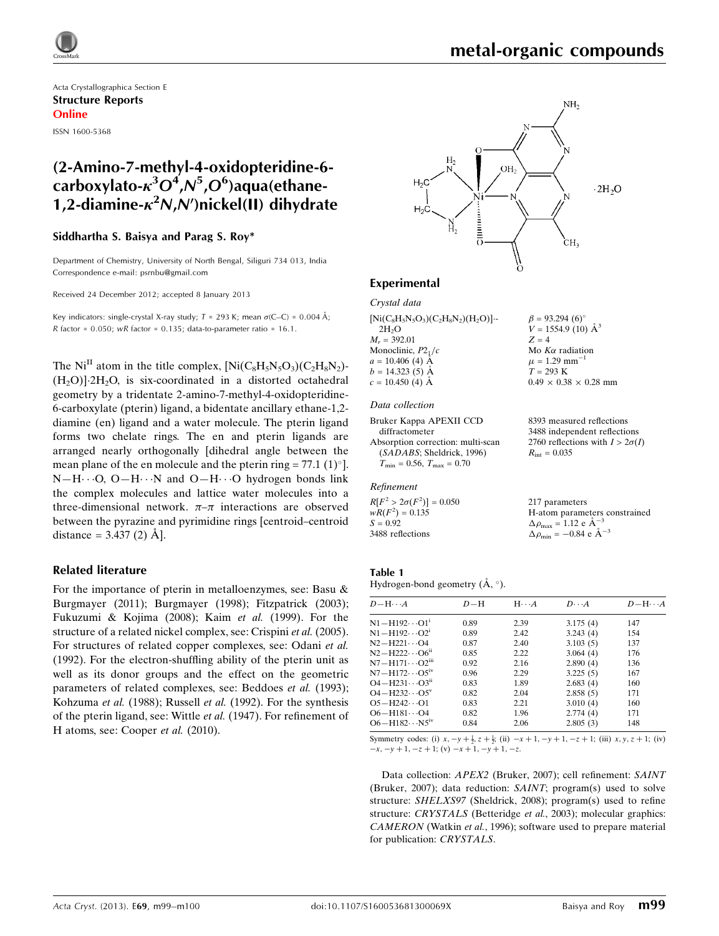

Acta Crystallographica Section E Structure Reports Online ISSN 1600-5368

# (2-Amino-7-methyl-4-oxidopteridine-6 carboxylato- $\kappa^3 O^4$ ,N<sup>5</sup>,O<sup>6</sup>)aqua(ethane-1,2-diamine- $\kappa^2 N$ , $N'$ )nickel(II) dihydrate

### Siddhartha S. Baisya and Parag S. Roy\*

Department of Chemistry, University of North Bengal, Siliguri 734 013, India Correspondence e-mail: [psrnbu@gmail.com](https://scripts.iucr.org/cgi-bin/cr.cgi?rm=pdfbb&cnor=hy2612&bbid=BB17)

Received 24 December 2012; accepted 8 January 2013

Key indicators: single-crystal X-ray study;  $T = 293$  K; mean  $\sigma$ (C–C) = 0.004 Å; R factor =  $0.050$ ; wR factor =  $0.135$ ; data-to-parameter ratio =  $16.1$ .

The  $Ni<sup>H</sup>$  atom in the title complex,  $[Ni(C_8H_5N_5O_3)(C_2H_8N_2) (H_2O)$ ] $\cdot 2H_2O$ , is six-coordinated in a distorted octahedral geometry by a tridentate 2-amino-7-methyl-4-oxidopteridine-6-carboxylate (pterin) ligand, a bidentate ancillary ethane-1,2 diamine (en) ligand and a water molecule. The pterin ligand forms two chelate rings. The en and pterin ligands are arranged nearly orthogonally [dihedral angle between the mean plane of the en molecule and the pterin ring = 77.1 (1) $^{\circ}$ ].  $N-H\cdots O$ ,  $O-H\cdots N$  and  $O-H\cdots O$  hydrogen bonds link the complex molecules and lattice water molecules into a three-dimensional network.  $\pi-\pi$  interactions are observed between the pyrazine and pyrimidine rings [centroid–centroid distance =  $3.437(2)$  Å.

### Related literature

For the importance of pterin in metalloenzymes, see: Basu & Burgmayer (2011); Burgmayer (1998); Fitzpatrick (2003); Fukuzumi & Kojima (2008); Kaim et al. (1999). For the structure of a related nickel complex, see: Crispini et al. (2005). For structures of related copper complexes, see: Odani et al. (1992). For the electron-shuffling ability of the pterin unit as well as its donor groups and the effect on the geometric parameters of related complexes, see: Beddoes et al. (1993); Kohzuma et al. (1988); Russell et al. (1992). For the synthesis of the pterin ligand, see: Wittle et al. (1947). For refinement of H atoms, see: Cooper et al. (2010).



### Experimental

### Crystal data

 $[Ni(C_8H_5N_5O_3)(C_2H_8N_2)(H_2O)]$  $2H<sub>2</sub>O$  $M_r = 392.01$ Monoclinic,  $P2<sub>1</sub>/c$  $a = 10.406$  (4)  $\AA$  $b = 14.323(5)$  Å  $c = 10.450$  (4)  $\AA$ 

### Data collection

```
Bruker Kappa APEXII CCD
  diffractometer
Absorption correction: multi-scan
  (SADABS; Sheldrick, 1996)
  T_{\text{min}} = 0.56, T_{\text{max}} = 0.70
```
#### Refinement

 $R[F^2 > 2\sigma(F^2)] = 0.050$  $wR(F^2) = 0.135$  $S = 0.92$ 3488 reflections

8393 measured reflections 3488 independent reflections 2760 reflections with  $I > 2\sigma(I)$ 

 $0.49 \times 0.38 \times 0.28$  mm

 $\beta = 93.294 (6)$ °  $V = 1554.9$  (10)  $\AA^3$ 

Mo  $K\alpha$  radiation  $\mu$  = 1.29 mm<sup>-1</sup>  $T = 293$  K

 $R_{\text{int}} = 0.035$ 

 $Z = 4$ 

217 parameters H-atom parameters constrained  $\Delta \rho_{\text{max}} = 1.12 \text{ e } \text{\AA}_{\text{s}}^{-3}$  $\Delta \rho_{\text{min}} = -0.84 \text{ e A}^{-3}$ 

### Table 1

Hydrogen-bond geometry  $(\mathring{A}, \degree)$ .

| $D-H$ | $H \cdot \cdot \cdot A$ | $D\cdots A$ | $D - H \cdots A$ |
|-------|-------------------------|-------------|------------------|
| 0.89  | 2.39                    | 3.175(4)    | 147              |
| 0.89  | 2.42                    | 3.243(4)    | 154              |
| 0.87  | 2.40                    | 3.103(5)    | 137              |
| 0.85  | 2.22                    | 3.064(4)    | 176              |
| 0.92  | 2.16                    | 2.890(4)    | 136              |
| 0.96  | 2.29                    | 3.225(5)    | 167              |
| 0.83  | 1.89                    | 2.683(4)    | 160              |
| 0.82  | 2.04                    | 2.858(5)    | 171              |
| 0.83  | 2.21                    | 3.010(4)    | 160              |
| 0.82  | 1.96                    | 2.774(4)    | 171              |
| 0.84  | 2.06                    | 2.805(3)    | 148              |
|       |                         |             |                  |

Symmetry codes: (i)  $x, -y + \frac{1}{2}, z + \frac{1}{2}$ ; (ii)  $-x + 1, -y + 1, -z + 1$ ; (iii)  $x, y, z + 1$ ; (iv)  $-x, -y + 1, -z + 1$ ; (v)  $-x + 1, -y + 1, -z$ .

Data collection: APEX2 (Bruker, 2007); cell refinement: SAINT (Bruker, 2007); data reduction: SAINT; program(s) used to solve structure: SHELXS97 (Sheldrick, 2008); program(s) used to refine structure: CRYSTALS (Betteridge et al., 2003); molecular graphics: CAMERON (Watkin et al., 1996); software used to prepare material for publication: CRYSTALS.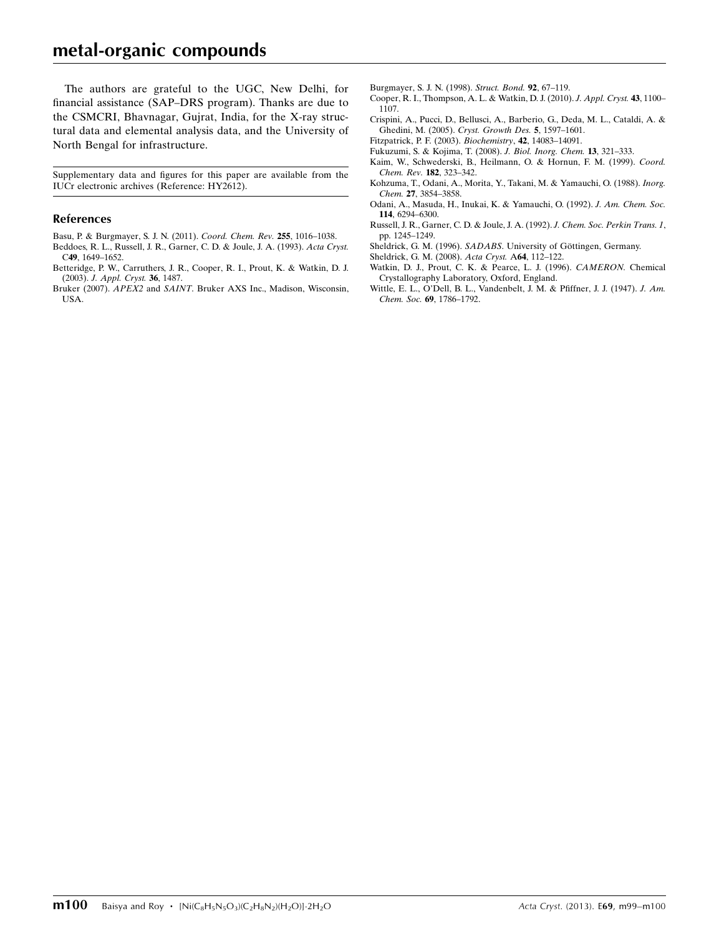# metal-organic compounds

The authors are grateful to the UGC, New Delhi, for financial assistance (SAP–DRS program). Thanks are due to the CSMCRI, Bhavnagar, Gujrat, India, for the X-ray structural data and elemental analysis data, and the University of North Bengal for infrastructure.

Supplementary data and figures for this paper are available from the IUCr electronic archives (Reference: HY2612).

### References

- [Basu, P. & Burgmayer, S. J. N. \(2011\).](https://scripts.iucr.org/cgi-bin/cr.cgi?rm=pdfbb&cnor=hy2612&bbid=BB1) Coord. Chem. Rev. 255, 1016–1038.
- [Beddoes, R. L., Russell, J. R., Garner, C. D. & Joule, J. A. \(1993\).](https://scripts.iucr.org/cgi-bin/cr.cgi?rm=pdfbb&cnor=hy2612&bbid=BB2) Acta Cryst. C49[, 1649–1652.](https://scripts.iucr.org/cgi-bin/cr.cgi?rm=pdfbb&cnor=hy2612&bbid=BB2)
- [Betteridge, P. W., Carruthers, J. R., Cooper, R. I., Prout, K. & Watkin, D. J.](https://scripts.iucr.org/cgi-bin/cr.cgi?rm=pdfbb&cnor=hy2612&bbid=BB3) (2003). [J. Appl. Cryst.](https://scripts.iucr.org/cgi-bin/cr.cgi?rm=pdfbb&cnor=hy2612&bbid=BB3) 36, 1487.
- Bruker (2007). APEX2 and SAINT[. Bruker AXS Inc., Madison, Wisconsin,](https://scripts.iucr.org/cgi-bin/cr.cgi?rm=pdfbb&cnor=hy2612&bbid=BB4) [USA.](https://scripts.iucr.org/cgi-bin/cr.cgi?rm=pdfbb&cnor=hy2612&bbid=BB4)
- [Burgmayer, S. J. N. \(1998\).](https://scripts.iucr.org/cgi-bin/cr.cgi?rm=pdfbb&cnor=hy2612&bbid=BB5) Struct. Bond. 92, 67–119.
- [Cooper, R. I., Thompson, A. L. & Watkin, D. J. \(2010\).](https://scripts.iucr.org/cgi-bin/cr.cgi?rm=pdfbb&cnor=hy2612&bbid=BB6) J. Appl. Cryst. 43, 1100– [1107.](https://scripts.iucr.org/cgi-bin/cr.cgi?rm=pdfbb&cnor=hy2612&bbid=BB6)
- [Crispini, A., Pucci, D., Bellusci, A., Barberio, G., Deda, M. L., Cataldi, A. &](https://scripts.iucr.org/cgi-bin/cr.cgi?rm=pdfbb&cnor=hy2612&bbid=BB7) [Ghedini, M. \(2005\).](https://scripts.iucr.org/cgi-bin/cr.cgi?rm=pdfbb&cnor=hy2612&bbid=BB7) Cryst. Growth Des. 5, 1597–1601.
- [Fitzpatrick, P. F. \(2003\).](https://scripts.iucr.org/cgi-bin/cr.cgi?rm=pdfbb&cnor=hy2612&bbid=BB8) Biochemistry, 42, 14083–14091.
- [Fukuzumi, S. & Kojima, T. \(2008\).](https://scripts.iucr.org/cgi-bin/cr.cgi?rm=pdfbb&cnor=hy2612&bbid=BB9) J. Biol. Inorg. Chem. 13, 321–333.
- [Kaim, W., Schwederski, B., Heilmann, O. & Hornun, F. M. \(1999\).](https://scripts.iucr.org/cgi-bin/cr.cgi?rm=pdfbb&cnor=hy2612&bbid=BB10) Coord. [Chem. Rev.](https://scripts.iucr.org/cgi-bin/cr.cgi?rm=pdfbb&cnor=hy2612&bbid=BB10) 182, 323–342.
- [Kohzuma, T., Odani, A., Morita, Y., Takani, M. & Yamauchi, O. \(1988\).](https://scripts.iucr.org/cgi-bin/cr.cgi?rm=pdfbb&cnor=hy2612&bbid=BB11) Inorg. Chem. 27[, 3854–3858.](https://scripts.iucr.org/cgi-bin/cr.cgi?rm=pdfbb&cnor=hy2612&bbid=BB11)
- [Odani, A., Masuda, H., Inukai, K. & Yamauchi, O. \(1992\).](https://scripts.iucr.org/cgi-bin/cr.cgi?rm=pdfbb&cnor=hy2612&bbid=BB12) J. Am. Chem. Soc. 114[, 6294–6300.](https://scripts.iucr.org/cgi-bin/cr.cgi?rm=pdfbb&cnor=hy2612&bbid=BB12)
- [Russell, J. R., Garner, C. D. & Joule, J. A. \(1992\).](https://scripts.iucr.org/cgi-bin/cr.cgi?rm=pdfbb&cnor=hy2612&bbid=BB13) J. Chem. Soc. Perkin Trans. 1, [pp. 1245–1249.](https://scripts.iucr.org/cgi-bin/cr.cgi?rm=pdfbb&cnor=hy2612&bbid=BB13)
- Sheldrick, G. M. (1996). SADABS. University of Göttingen, Germany.
- [Sheldrick, G. M. \(2008\).](https://scripts.iucr.org/cgi-bin/cr.cgi?rm=pdfbb&cnor=hy2612&bbid=BB15) Acta Cryst. A64, 112–122.
- [Watkin, D. J., Prout, C. K. & Pearce, L. J. \(1996\).](https://scripts.iucr.org/cgi-bin/cr.cgi?rm=pdfbb&cnor=hy2612&bbid=BB16) CAMERON. Chemical [Crystallography Laboratory, Oxford, England.](https://scripts.iucr.org/cgi-bin/cr.cgi?rm=pdfbb&cnor=hy2612&bbid=BB16)
- [Wittle, E. L., O'Dell, B. L., Vandenbelt, J. M. & Pfiffner, J. J. \(1947\).](https://scripts.iucr.org/cgi-bin/cr.cgi?rm=pdfbb&cnor=hy2612&bbid=BB17) J. Am. Chem. Soc. 69[, 1786–1792.](https://scripts.iucr.org/cgi-bin/cr.cgi?rm=pdfbb&cnor=hy2612&bbid=BB17)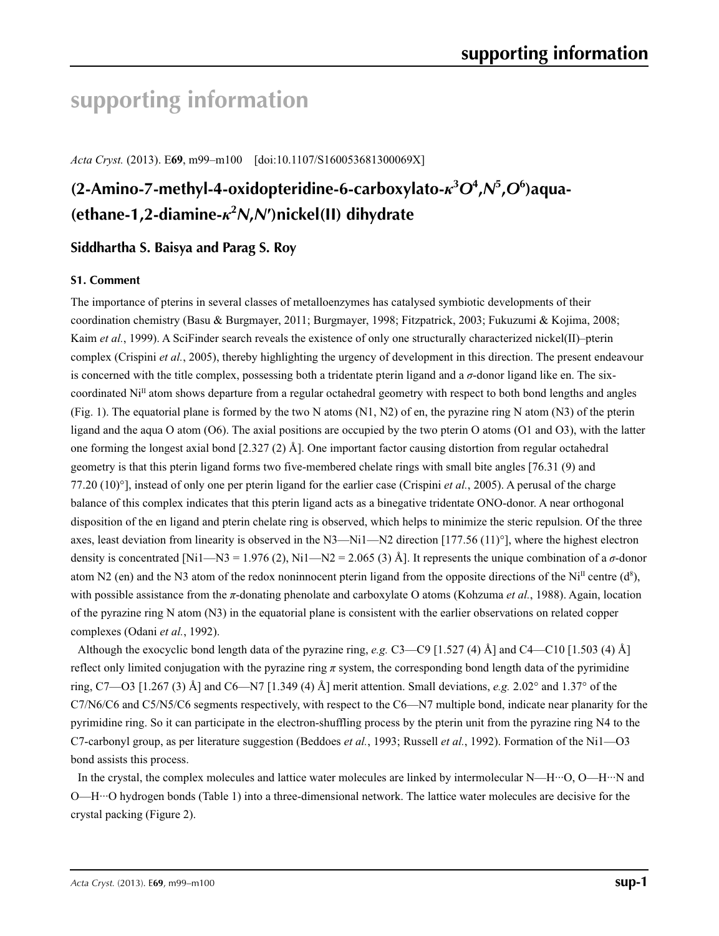# **supporting information**

*Acta Cryst.* (2013). E**69**, m99–m100 [doi:10.1107/S160053681300069X]

# **(2-Amino-7-methyl-4-oxidopteridine-6-carboxylato-***κ***<sup>3</sup>** *O***<sup>4</sup> ,***N***<sup>5</sup> ,***O***<sup>6</sup> )aqua- (ethane-1,2-diamine-***κ***<sup>2</sup>** *N***,***N***′)nickel(II) dihydrate**

# **Siddhartha S. Baisya and Parag S. Roy**

## **S1. Comment**

The importance of pterins in several classes of metalloenzymes has catalysed symbiotic developments of their coordination chemistry (Basu & Burgmayer, 2011; Burgmayer, 1998; Fitzpatrick, 2003; Fukuzumi & Kojima, 2008; Kaim *et al.*, 1999). A SciFinder search reveals the existence of only one structurally characterized nickel(II)–pterin complex (Crispini *et al.*, 2005), thereby highlighting the urgency of development in this direction. The present endeavour is concerned with the title complex, possessing both a tridentate pterin ligand and a *σ*-donor ligand like en. The sixcoordinated  $Ni<sup>II</sup>$  atom shows departure from a regular octahedral geometry with respect to both bond lengths and angles (Fig. 1). The equatorial plane is formed by the two N atoms (N1, N2) of en, the pyrazine ring N atom (N3) of the pterin ligand and the aqua O atom (O6). The axial positions are occupied by the two pterin O atoms (O1 and O3), with the latter one forming the longest axial bond [2.327 (2) Å]. One important factor causing distortion from regular octahedral geometry is that this pterin ligand forms two five-membered chelate rings with small bite angles [76.31 (9) and 77.20 (10)°], instead of only one per pterin ligand for the earlier case (Crispini *et al.*, 2005). A perusal of the charge balance of this complex indicates that this pterin ligand acts as a binegative tridentate ONO-donor. A near orthogonal disposition of the en ligand and pterin chelate ring is observed, which helps to minimize the steric repulsion. Of the three axes, least deviation from linearity is observed in the N3—Ni1—N2 direction [177.56 (11) $^{\circ}$ ], where the highest electron density is concentrated [Ni1—N3 = 1.976 (2), Ni1—N2 = 2.065 (3) Å]. It represents the unique combination of a  $\sigma$ -donor atom N2 (en) and the N3 atom of the redox noninnocent pterin ligand from the opposite directions of the Ni<sup>II</sup> centre  $(d^8)$ , with possible assistance from the *π*-donating phenolate and carboxylate O atoms (Kohzuma *et al.*, 1988). Again, location of the pyrazine ring N atom (N3) in the equatorial plane is consistent with the earlier observations on related copper complexes (Odani *et al.*, 1992).

Although the exocyclic bond length data of the pyrazine ring, *e.g.* C3—C9 [1.527 (4) Å] and C4—C10 [1.503 (4) Å] reflect only limited conjugation with the pyrazine ring *π* system, the corresponding bond length data of the pyrimidine ring, C7—O3 [1.267 (3) Å] and C6—N7 [1.349 (4) Å] merit attention. Small deviations, *e.g.* 2.02° and 1.37° of the C7/N6/C6 and C5/N5/C6 segments respectively, with respect to the C6—N7 multiple bond, indicate near planarity for the pyrimidine ring. So it can participate in the electron-shuffling process by the pterin unit from the pyrazine ring N4 to the C7-carbonyl group, as per literature suggestion (Beddoes *et al.*, 1993; Russell *et al.*, 1992). Formation of the Ni1—O3 bond assists this process.

In the crystal, the complex molecules and lattice water molecules are linked by intermolecular N—H···O, O—H···N and O—H···O hydrogen bonds (Table 1) into a three-dimensional network. The lattice water molecules are decisive for the crystal packing (Figure 2).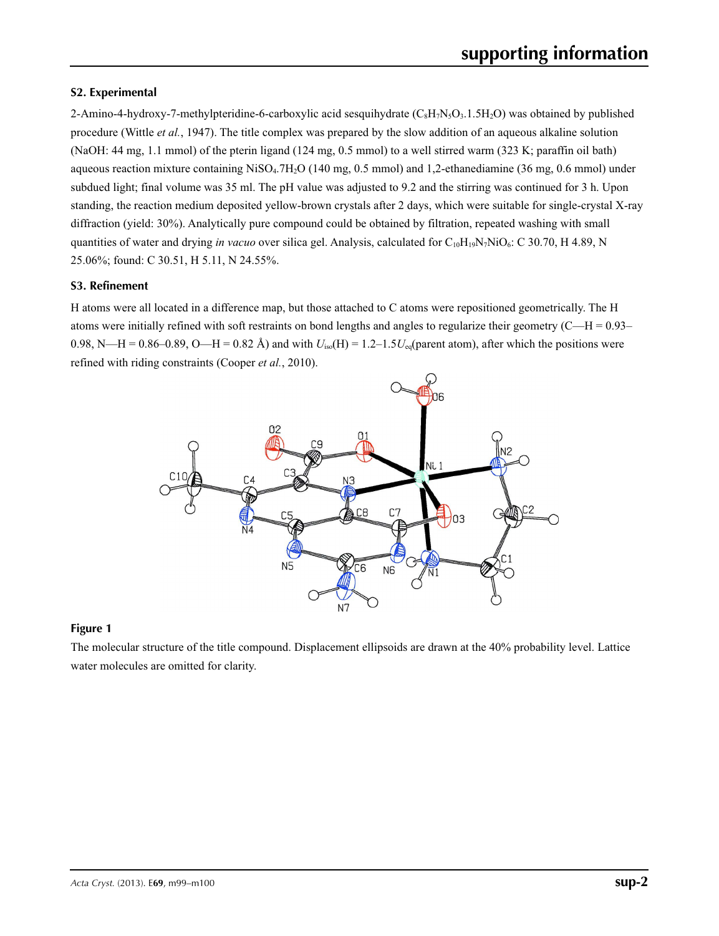## **S2. Experimental**

2-Amino-4-hydroxy-7-methylpteridine-6-carboxylic acid sesquihydrate  $(C_8H_7N_5O_3.1.5H_2O)$  was obtained by published procedure (Wittle *et al.*, 1947). The title complex was prepared by the slow addition of an aqueous alkaline solution (NaOH: 44 mg, 1.1 mmol) of the pterin ligand (124 mg, 0.5 mmol) to a well stirred warm (323 K; paraffin oil bath) aqueous reaction mixture containing NiSO4.7H2O (140 mg, 0.5 mmol) and 1,2-ethanediamine (36 mg, 0.6 mmol) under subdued light; final volume was 35 ml. The pH value was adjusted to 9.2 and the stirring was continued for 3 h. Upon standing, the reaction medium deposited yellow-brown crystals after 2 days, which were suitable for single-crystal X-ray diffraction (yield: 30%). Analytically pure compound could be obtained by filtration, repeated washing with small quantities of water and drying *in vacuo* over silica gel. Analysis, calculated for  $C_{10}H_{19}N_7NiO_6$ : C 30.70, H 4.89, N 25.06%; found: C 30.51, H 5.11, N 24.55%.

## **S3. Refinement**

H atoms were all located in a difference map, but those attached to C atoms were repositioned geometrically. The H atoms were initially refined with soft restraints on bond lengths and angles to regularize their geometry  $(C-H = 0.93-$ 0.98, N—H = 0.86–0.89, O—H = 0.82 Å) and with  $U_{iso}(H) = 1.2-1.5U_{eq}(parent atom)$ , after which the positions were refined with riding constraints (Cooper *et al.*, 2010).



## **Figure 1**

The molecular structure of the title compound. Displacement ellipsoids are drawn at the 40% probability level. Lattice water molecules are omitted for clarity.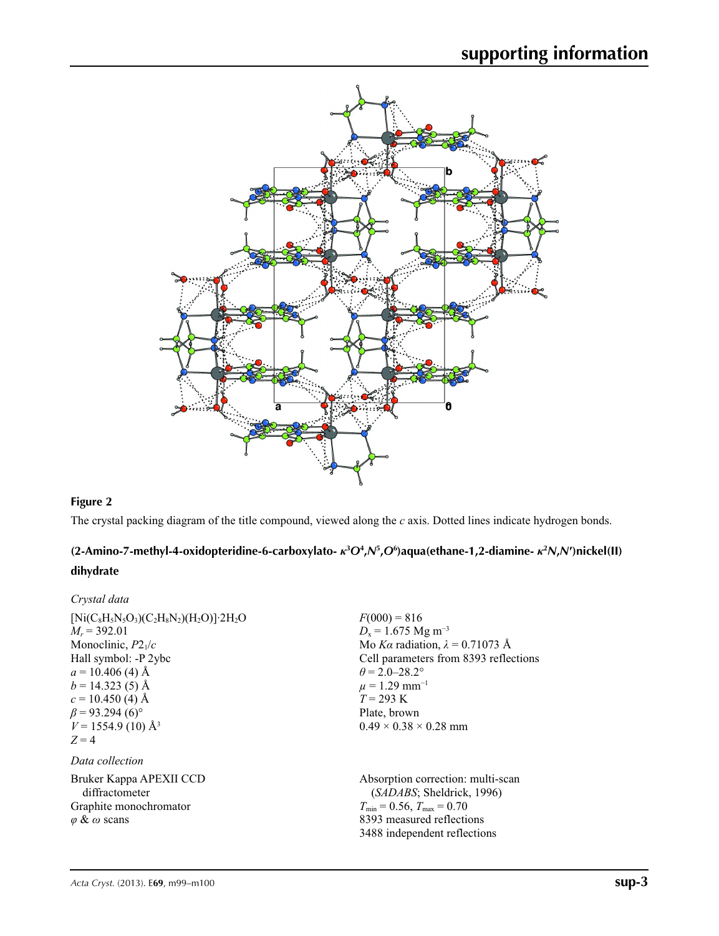

# **Figure 2**

The crystal packing diagram of the title compound, viewed along the *c* axis. Dotted lines indicate hydrogen bonds.

# (2-Amino-7-methyl-4-oxidopteridine-6-carboxylato-  $\kappa^3O^4$ , N<sup>5</sup>, O<sup>6</sup>)aqua(ethane-1, 2-diamine-  $\kappa^2N$ , N')nickel(II) **dihydrate**

| Crystal data                                                                                                                                                                                                                    |                                                                                                                                                                                                                                       |
|---------------------------------------------------------------------------------------------------------------------------------------------------------------------------------------------------------------------------------|---------------------------------------------------------------------------------------------------------------------------------------------------------------------------------------------------------------------------------------|
| $[Ni(C_8H_5N_5O_3)(C_2H_8N_2)(H_2O)]$ 2H <sub>2</sub> O<br>$M_r = 392.01$<br>Monoclinic, $P2_1/c$<br>Hall symbol: -P 2ybc<br>$a = 10.406$ (4) Å<br>$b = 14.323(5)$ Å<br>$c = 10.450$ (4) Å<br>$\beta$ = 93.294 (6) <sup>o</sup> | $F(000) = 816$<br>$D_x = 1.675$ Mg m <sup>-3</sup><br>Mo Ka radiation, $\lambda = 0.71073$ Å<br>Cell parameters from 8393 reflections<br>$\theta$ = 2.0–28.2°<br>$\mu$ = 1.29 mm <sup>-1</sup><br>$T = 293 \text{ K}$<br>Plate, brown |
| $V = 1554.9$ (10) Å <sup>3</sup><br>$Z=4$<br>Data collection                                                                                                                                                                    | $0.49 \times 0.38 \times 0.28$ mm                                                                                                                                                                                                     |
| Bruker Kappa APEXII CCD<br>diffractometer<br>Graphite monochromator<br>$\varphi \& \omega$ scans                                                                                                                                | Absorption correction: multi-scan<br>(SADABS; Sheldrick, 1996)<br>$T_{\min} = 0.56$ , $T_{\max} = 0.70$<br>8393 measured reflections<br>3488 independent reflections                                                                  |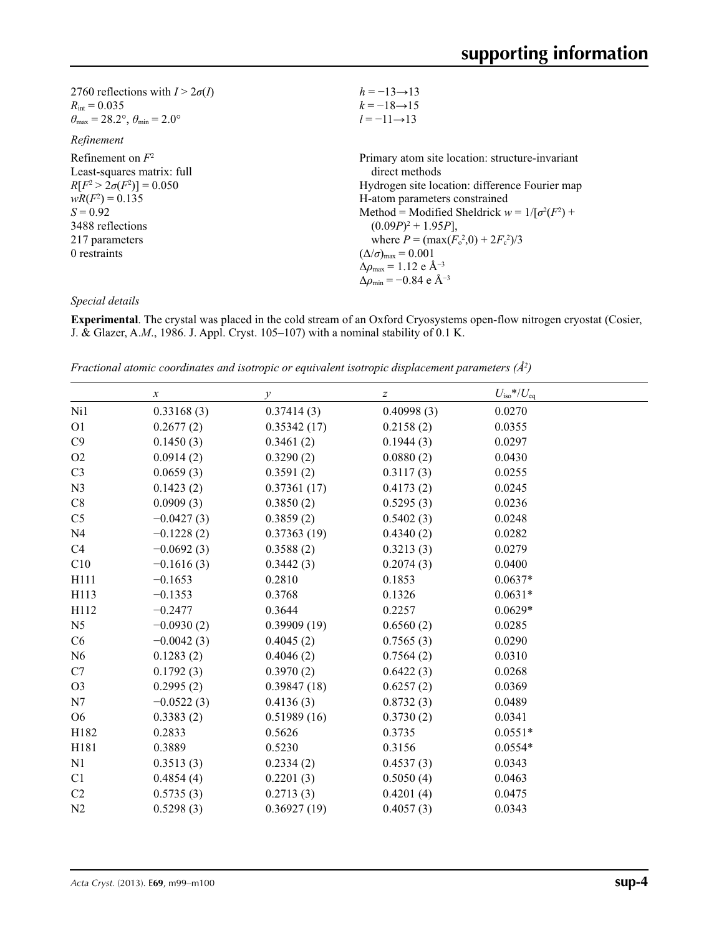| $h = -13 \rightarrow 13$                                     |
|--------------------------------------------------------------|
| $k = -18 \rightarrow 15$                                     |
| $l = -11 \rightarrow 13$                                     |
|                                                              |
| Primary atom site location: structure-invariant              |
| direct methods                                               |
| Hydrogen site location: difference Fourier map               |
| H-atom parameters constrained                                |
| Method = Modified Sheldrick $w = 1/[\sigma^2(F^2) +$         |
| $(0.09P)^2 + 1.95P$ ,                                        |
| where $P = (\max(F_0^2, 0) + 2F_c^2)/3$                      |
| $(\Delta/\sigma)_{\text{max}} = 0.001$                       |
| $\Delta \rho_{\text{max}} = 1.12 \text{ e } \text{\AA}^{-3}$ |
| $\Delta\rho_{\rm min} = -0.84 \text{ e } \text{\AA}^{-3}$    |
|                                                              |

*Special details*

**Experimental**. The crystal was placed in the cold stream of an Oxford Cryosystems open-flow nitrogen cryostat (Cosier, J. & Glazer, A.*M*., 1986. J. Appl. Cryst. 105–107) with a nominal stability of 0.1 K.

*Fractional atomic coordinates and isotropic or equivalent isotropic displacement parameters (Å<sup>2</sup>)* 

|                | $\boldsymbol{\chi}$ | $\mathcal{Y}$ | Ζ          | $U_{\rm iso}$ */ $U_{\rm eq}$ |  |
|----------------|---------------------|---------------|------------|-------------------------------|--|
| Ni1            | 0.33168(3)          | 0.37414(3)    | 0.40998(3) | 0.0270                        |  |
| O <sub>1</sub> | 0.2677(2)           | 0.35342(17)   | 0.2158(2)  | 0.0355                        |  |
| C9             | 0.1450(3)           | 0.3461(2)     | 0.1944(3)  | 0.0297                        |  |
| O2             | 0.0914(2)           | 0.3290(2)     | 0.0880(2)  | 0.0430                        |  |
| C <sub>3</sub> | 0.0659(3)           | 0.3591(2)     | 0.3117(3)  | 0.0255                        |  |
| N3             | 0.1423(2)           | 0.37361(17)   | 0.4173(2)  | 0.0245                        |  |
| C8             | 0.0909(3)           | 0.3850(2)     | 0.5295(3)  | 0.0236                        |  |
| C <sub>5</sub> | $-0.0427(3)$        | 0.3859(2)     | 0.5402(3)  | 0.0248                        |  |
| N <sub>4</sub> | $-0.1228(2)$        | 0.37363(19)   | 0.4340(2)  | 0.0282                        |  |
| C4             | $-0.0692(3)$        | 0.3588(2)     | 0.3213(3)  | 0.0279                        |  |
| C10            | $-0.1616(3)$        | 0.3442(3)     | 0.2074(3)  | 0.0400                        |  |
| H111           | $-0.1653$           | 0.2810        | 0.1853     | $0.0637*$                     |  |
| H113           | $-0.1353$           | 0.3768        | 0.1326     | $0.0631*$                     |  |
| H112           | $-0.2477$           | 0.3644        | 0.2257     | $0.0629*$                     |  |
| N <sub>5</sub> | $-0.0930(2)$        | 0.39909(19)   | 0.6560(2)  | 0.0285                        |  |
| C6             | $-0.0042(3)$        | 0.4045(2)     | 0.7565(3)  | 0.0290                        |  |
| N6             | 0.1283(2)           | 0.4046(2)     | 0.7564(2)  | 0.0310                        |  |
| C7             | 0.1792(3)           | 0.3970(2)     | 0.6422(3)  | 0.0268                        |  |
| O <sub>3</sub> | 0.2995(2)           | 0.39847(18)   | 0.6257(2)  | 0.0369                        |  |
| N7             | $-0.0522(3)$        | 0.4136(3)     | 0.8732(3)  | 0.0489                        |  |
| O <sub>6</sub> | 0.3383(2)           | 0.51989(16)   | 0.3730(2)  | 0.0341                        |  |
| H182           | 0.2833              | 0.5626        | 0.3735     | $0.0551*$                     |  |
| H181           | 0.3889              | 0.5230        | 0.3156     | $0.0554*$                     |  |
| N1             | 0.3513(3)           | 0.2334(2)     | 0.4537(3)  | 0.0343                        |  |
| C <sub>1</sub> | 0.4854(4)           | 0.2201(3)     | 0.5050(4)  | 0.0463                        |  |
| C2             | 0.5735(3)           | 0.2713(3)     | 0.4201(4)  | 0.0475                        |  |
| N2             | 0.5298(3)           | 0.36927(19)   | 0.4057(3)  | 0.0343                        |  |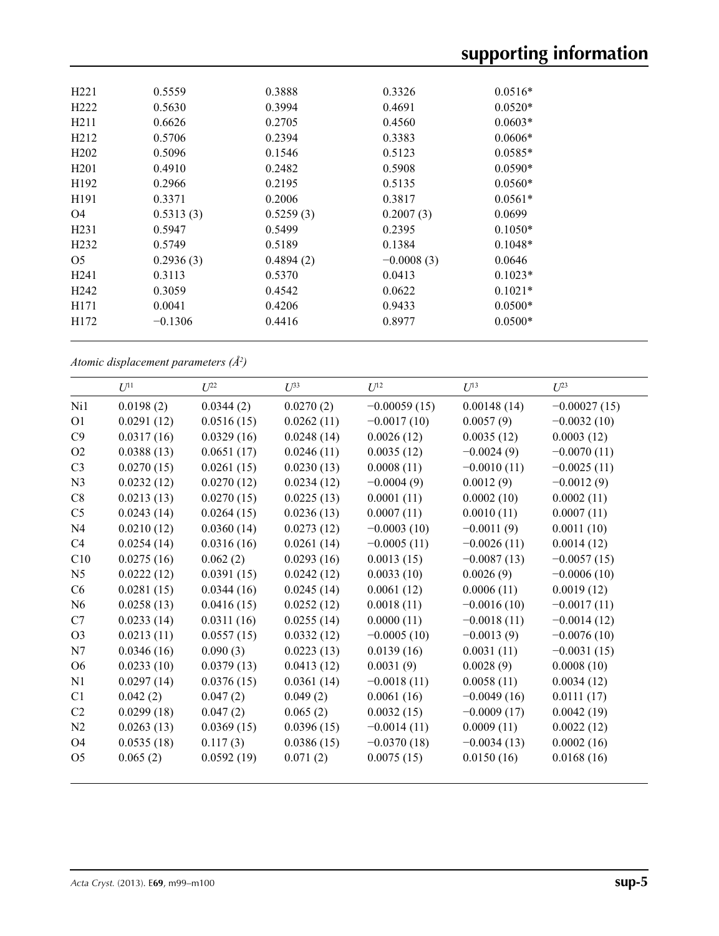# **supporting information**

| H <sub>221</sub>  | 0.5559    | 0.3888    | 0.3326       | $0.0516*$ |
|-------------------|-----------|-----------|--------------|-----------|
| H <sub>222</sub>  | 0.5630    | 0.3994    | 0.4691       | $0.0520*$ |
| H <sub>2</sub> 11 | 0.6626    | 0.2705    | 0.4560       | $0.0603*$ |
| H <sub>2</sub> 12 | 0.5706    | 0.2394    | 0.3383       | $0.0606*$ |
| H <sub>2</sub> 02 | 0.5096    | 0.1546    | 0.5123       | $0.0585*$ |
| H <sub>201</sub>  | 0.4910    | 0.2482    | 0.5908       | $0.0590*$ |
| H <sub>192</sub>  | 0.2966    | 0.2195    | 0.5135       | $0.0560*$ |
| H191              | 0.3371    | 0.2006    | 0.3817       | $0.0561*$ |
| O4                | 0.5313(3) | 0.5259(3) | 0.2007(3)    | 0.0699    |
| H <sub>231</sub>  | 0.5947    | 0.5499    | 0.2395       | $0.1050*$ |
| H <sub>2</sub> 32 | 0.5749    | 0.5189    | 0.1384       | $0.1048*$ |
| O <sub>5</sub>    | 0.2936(3) | 0.4894(2) | $-0.0008(3)$ | 0.0646    |
| H <sub>241</sub>  | 0.3113    | 0.5370    | 0.0413       | $0.1023*$ |
| H <sub>242</sub>  | 0.3059    | 0.4542    | 0.0622       | $0.1021*$ |
| H <sub>171</sub>  | 0.0041    | 0.4206    | 0.9433       | $0.0500*$ |
| H172              | $-0.1306$ | 0.4416    | 0.8977       | $0.0500*$ |
|                   |           |           |              |           |

*Atomic displacement parameters (Å2 )*

|                | $U^{11}$   | $U^{22}$   | $U^{33}$   | $U^{12}$       | $U^{13}$      | $U^{23}$       |
|----------------|------------|------------|------------|----------------|---------------|----------------|
| Ni1            | 0.0198(2)  | 0.0344(2)  | 0.0270(2)  | $-0.00059(15)$ | 0.00148(14)   | $-0.00027(15)$ |
| O <sub>1</sub> | 0.0291(12) | 0.0516(15) | 0.0262(11) | $-0.0017(10)$  | 0.0057(9)     | $-0.0032(10)$  |
| C9             | 0.0317(16) | 0.0329(16) | 0.0248(14) | 0.0026(12)     | 0.0035(12)    | 0.0003(12)     |
| O2             | 0.0388(13) | 0.0651(17) | 0.0246(11) | 0.0035(12)     | $-0.0024(9)$  | $-0.0070(11)$  |
| C <sub>3</sub> | 0.0270(15) | 0.0261(15) | 0.0230(13) | 0.0008(11)     | $-0.0010(11)$ | $-0.0025(11)$  |
| N <sub>3</sub> | 0.0232(12) | 0.0270(12) | 0.0234(12) | $-0.0004(9)$   | 0.0012(9)     | $-0.0012(9)$   |
| C8             | 0.0213(13) | 0.0270(15) | 0.0225(13) | 0.0001(11)     | 0.0002(10)    | 0.0002(11)     |
| C <sub>5</sub> | 0.0243(14) | 0.0264(15) | 0.0236(13) | 0.0007(11)     | 0.0010(11)    | 0.0007(11)     |
| N <sub>4</sub> | 0.0210(12) | 0.0360(14) | 0.0273(12) | $-0.0003(10)$  | $-0.0011(9)$  | 0.0011(10)     |
| C <sub>4</sub> | 0.0254(14) | 0.0316(16) | 0.0261(14) | $-0.0005(11)$  | $-0.0026(11)$ | 0.0014(12)     |
| C10            | 0.0275(16) | 0.062(2)   | 0.0293(16) | 0.0013(15)     | $-0.0087(13)$ | $-0.0057(15)$  |
| N <sub>5</sub> | 0.0222(12) | 0.0391(15) | 0.0242(12) | 0.0033(10)     | 0.0026(9)     | $-0.0006(10)$  |
| C <sub>6</sub> | 0.0281(15) | 0.0344(16) | 0.0245(14) | 0.0061(12)     | 0.0006(11)    | 0.0019(12)     |
| N <sub>6</sub> | 0.0258(13) | 0.0416(15) | 0.0252(12) | 0.0018(11)     | $-0.0016(10)$ | $-0.0017(11)$  |
| C7             | 0.0233(14) | 0.0311(16) | 0.0255(14) | 0.0000(11)     | $-0.0018(11)$ | $-0.0014(12)$  |
| O <sub>3</sub> | 0.0213(11) | 0.0557(15) | 0.0332(12) | $-0.0005(10)$  | $-0.0013(9)$  | $-0.0076(10)$  |
| N7             | 0.0346(16) | 0.090(3)   | 0.0223(13) | 0.0139(16)     | 0.0031(11)    | $-0.0031(15)$  |
| O <sub>6</sub> | 0.0233(10) | 0.0379(13) | 0.0413(12) | 0.0031(9)      | 0.0028(9)     | 0.0008(10)     |
| N1             | 0.0297(14) | 0.0376(15) | 0.0361(14) | $-0.0018(11)$  | 0.0058(11)    | 0.0034(12)     |
| C1             | 0.042(2)   | 0.047(2)   | 0.049(2)   | 0.0061(16)     | $-0.0049(16)$ | 0.0111(17)     |
| C <sub>2</sub> | 0.0299(18) | 0.047(2)   | 0.065(2)   | 0.0032(15)     | $-0.0009(17)$ | 0.0042(19)     |
| N2             | 0.0263(13) | 0.0369(15) | 0.0396(15) | $-0.0014(11)$  | 0.0009(11)    | 0.0022(12)     |
| O <sub>4</sub> | 0.0535(18) | 0.117(3)   | 0.0386(15) | $-0.0370(18)$  | $-0.0034(13)$ | 0.0002(16)     |
| O <sub>5</sub> | 0.065(2)   | 0.0592(19) | 0.071(2)   | 0.0075(15)     | 0.0150(16)    | 0.0168(16)     |
|                |            |            |            |                |               |                |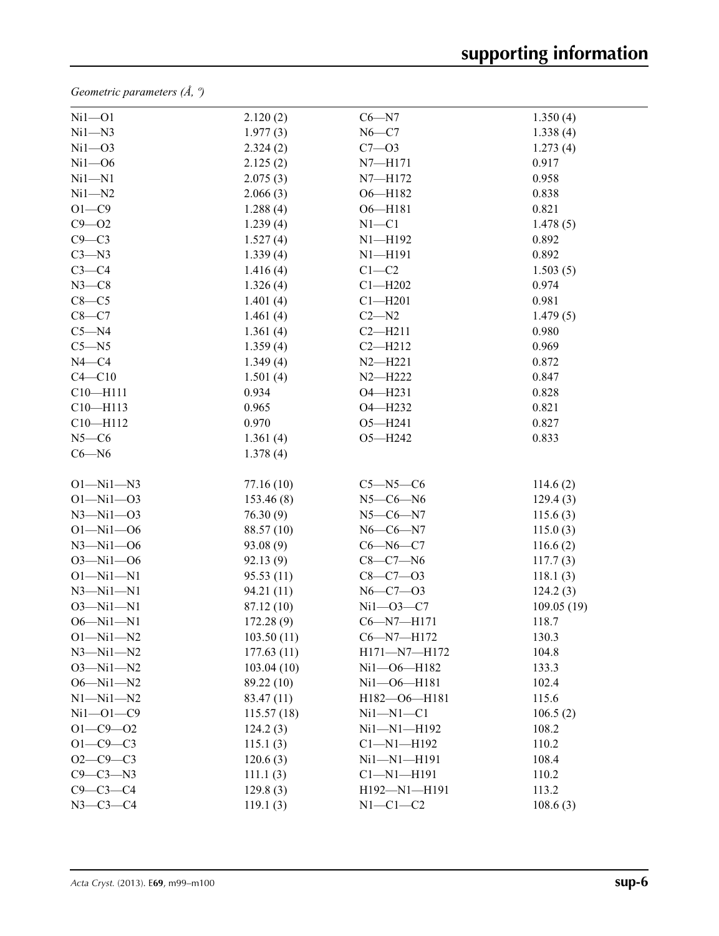*Geometric parameters (Å, º)*

| $Ni1 - O1$      | 2.120(2)   | $C6 - N7$              | 1.350(4)    |
|-----------------|------------|------------------------|-------------|
| $Ni1 - N3$      | 1.977(3)   | $N6-C7$                | 1.338(4)    |
| $Ni1 - O3$      | 2.324(2)   | $C7 - 03$              | 1.273(4)    |
| $Ni1 - O6$      | 2.125(2)   | $N7 - H171$            | 0.917       |
| $Ni1 - N1$      | 2.075(3)   | N7-H172                | 0.958       |
| $Ni1 - N2$      | 2.066(3)   | O6-H182                | 0.838       |
| $O1 - C9$       | 1.288(4)   | $O6 - H181$            | 0.821       |
| $C9 - O2$       | 1.239(4)   | $N1 - C1$              | 1.478(5)    |
| $C9 - C3$       | 1.527(4)   | $N1 - H192$            | 0.892       |
| $C3 - N3$       | 1.339(4)   | $N1 - H191$            | 0.892       |
| $C3-C4$         | 1.416(4)   | $C1 - C2$              | 1.503(5)    |
| $N3-C8$         | 1.326(4)   | $Cl$ -H <sub>202</sub> | 0.974       |
| $C8-C5$         | 1.401(4)   | $Cl$ -H <sub>201</sub> | 0.981       |
| $C8-C7$         | 1.461(4)   | $C2 - N2$              | 1.479(5)    |
| $C5 - N4$       | 1.361(4)   | $C2 - H211$            | 0.980       |
| $C5 - N5$       | 1.359(4)   | $C2 - H212$            | 0.969       |
| $N4 - C4$       | 1.349(4)   | $N2 - H221$            | 0.872       |
| $C4 - C10$      | 1.501(4)   | $N2 - H222$            | 0.847       |
| $C10 - H111$    | 0.934      | O4-H231                | 0.828       |
| $C10 - H113$    | 0.965      | O4-H232                | 0.821       |
| $C10 - H112$    | 0.970      | $O5 - H241$            | 0.827       |
| $N5-C6$         | 1.361(4)   | O5-H242                | 0.833       |
| $C6 - N6$       | 1.378(4)   |                        |             |
| $O1 - Ni1 - N3$ | 77.16(10)  | $C5 - N5 - C6$         | 114.6(2)    |
| $O1 - Ni1 - O3$ | 153.46(8)  | $N5-C6-N6$             | 129.4(3)    |
| $N3 - N11 - 03$ | 76.30(9)   | $N5 - C6 - N7$         | 115.6(3)    |
| $O1 - Ni1 - O6$ | 88.57 (10) | $N6 - C6 - N7$         | 115.0(3)    |
| $N3 - N11 - 06$ | 93.08(9)   | $C6 - N6 - C7$         | 116.6(2)    |
| $O3 - Ni1 - O6$ | 92.13 (9)  | $C8-C7-N6$             | 117.7(3)    |
| $O1 - Ni1 - N1$ | 95.53(11)  | $C8 - C7 - O3$         | 118.1(3)    |
| $N3 - N11 - N1$ | 94.21 (11) | $N6 - C7 - O3$         | 124.2(3)    |
| $O3 - Ni1 - N1$ | 87.12 (10) | $Ni1 - O3 - C7$        | 109.05 (19) |
| $O6 - Ni1 - N1$ | 172.28(9)  | $C6 - N7 - H171$       | 118.7       |
| $O1 - Ni1 - N2$ | 103.50(11) | C6-N7-H172             | 130.3       |
| $N3 - N11 - N2$ | 177.63(11) | H171-N7-H172           | 104.8       |
| $O3 - Ni1 - N2$ | 103.04(10) | Ni1-06-H182            | 133.3       |
| $O6 - Ni1 - N2$ | 89.22 (10) | Ni1-06-H181            | 102.4       |
| $N1 - N11 - N2$ | 83.47 (11) | H182-O6-H181           | 115.6       |
| $Ni1 - O1 - C9$ | 115.57(18) | $Ni1 - N1 - C1$        | 106.5(2)    |
| $O1 - C9 - O2$  | 124.2(3)   | Ni1-N1-H192            | 108.2       |
| $O1 - C9 - C3$  | 115.1(3)   | $Cl - N1 - H192$       | 110.2       |
| $O2 - C9 - C3$  | 120.6(3)   | Ni1-N1-H191            | 108.4       |
| $C9 - C3 - N3$  | 111.1(3)   | $Cl - N1 - H191$       | 110.2       |
| $C9 - C3 - C4$  | 129.8(3)   | H192-N1-H191           | 113.2       |
| $N3 - C3 - C4$  | 119.1(3)   | $N1-C1-C2$             | 108.6(3)    |